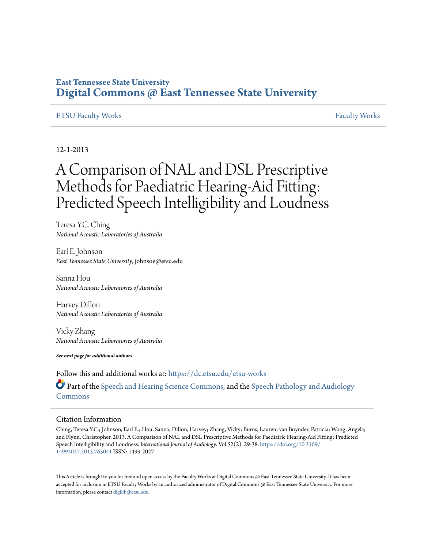# **East Tennessee State University [Digital Commons @ East Tennessee State University](https://dc.etsu.edu?utm_source=dc.etsu.edu%2Fetsu-works%2F1703&utm_medium=PDF&utm_campaign=PDFCoverPages)**

# [ETSU Faculty Works](https://dc.etsu.edu/etsu-works?utm_source=dc.etsu.edu%2Fetsu-works%2F1703&utm_medium=PDF&utm_campaign=PDFCoverPages) [Faculty Works](https://dc.etsu.edu/faculty-works?utm_source=dc.etsu.edu%2Fetsu-works%2F1703&utm_medium=PDF&utm_campaign=PDFCoverPages) Faculty Works Faculty Works Faculty Works Faculty Works Faculty Works Faculty Works Faculty Morks Faculty Morks Faculty Morks Faculty Morks Faculty Morks Faculty Morks Faculty Morks Faculty

12-1-2013

# A Comparison of NAL and DSL Prescriptive Methods for Paediatric Hearing-Aid Fitting: Predicted Speech Intelligibility and Loudness

Teresa Y.C. Ching *National Acoustic Laboratories of Australia*

Earl E. Johnson *East Tennessee State University*, johnsoe@etsu.edu

Sanna Hou *National Acoustic Laboratories of Australia*

Harvey Dillon *National Acoustic Laboratories of Australia*

Vicky Zhang *National Acoustic Laboratories of Australia*

*See next page for additional authors*

Follow this and additional works at: [https://dc.etsu.edu/etsu-works](https://dc.etsu.edu/etsu-works?utm_source=dc.etsu.edu%2Fetsu-works%2F1703&utm_medium=PDF&utm_campaign=PDFCoverPages)

Part of the [Speech and Hearing Science Commons](http://network.bepress.com/hgg/discipline/1033?utm_source=dc.etsu.edu%2Fetsu-works%2F1703&utm_medium=PDF&utm_campaign=PDFCoverPages), and the [Speech Pathology and Audiology](http://network.bepress.com/hgg/discipline/1035?utm_source=dc.etsu.edu%2Fetsu-works%2F1703&utm_medium=PDF&utm_campaign=PDFCoverPages) **[Commons](http://network.bepress.com/hgg/discipline/1035?utm_source=dc.etsu.edu%2Fetsu-works%2F1703&utm_medium=PDF&utm_campaign=PDFCoverPages)** 

#### Citation Information

Ching, Teresa Y.C.; Johnson, Earl E.; Hou, Sanna; Dillon, Harvey; Zhang, Vicky; Burns, Lauren; van Buynder, Patricia; Wong, Angela; and Flynn, Christopher. 2013. A Comparison of NAL and DSL Prescriptive Methods for Paediatric Hearing-Aid Fitting: Predicted Speech Intelligibility and Loudness. *International Journal of Audiology*. Vol.52(2). 29-38. [https://doi.org/10.3109/](https://doi.org/10.3109/14992027.2013.765041) [14992027.2013.765041](https://doi.org/10.3109/14992027.2013.765041) ISSN: 1499-2027

This Article is brought to you for free and open access by the Faculty Works at Digital Commons @ East Tennessee State University. It has been accepted for inclusion in ETSU Faculty Works by an authorized administrator of Digital Commons @ East Tennessee State University. For more information, please contact [digilib@etsu.edu.](mailto:digilib@etsu.edu)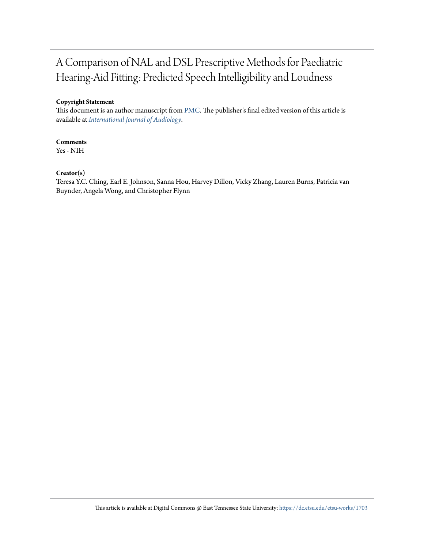# A Comparison of NAL and DSL Prescriptive Methods for Paediatric Hearing-Aid Fitting: Predicted Speech Intelligibility and Loudness

# **Copyright Statement**

This document is an author manuscript from [PMC.](https://www.ncbi.nlm.nih.gov/pmc/articles/PMC3874129/) The publisher's final edited version of this article is available at *[International Journal of Audiology](https://doi.org/10.3109/14992027.2013.765041)*.

# **Comments**

Yes - NIH

# **Creator(s)**

Teresa Y.C. Ching, Earl E. Johnson, Sanna Hou, Harvey Dillon, Vicky Zhang, Lauren Burns, Patricia van Buynder, Angela Wong, and Christopher Flynn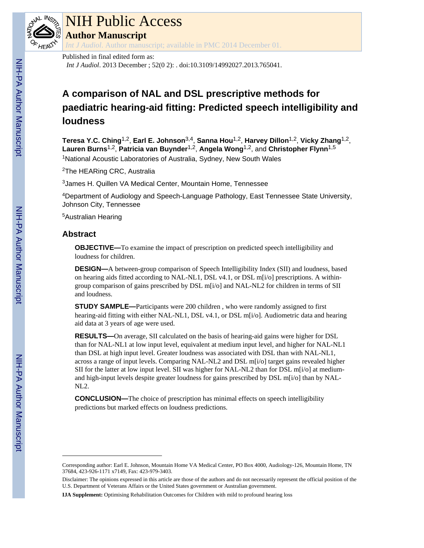

# NIH Public Access

**Author Manuscript**

*Int J Audiol*. Author manuscript; available in PMC 2014 December 01.

# Published in final edited form as:

*Int J Audiol*. 2013 December ; 52(0 2): . doi:10.3109/14992027.2013.765041.

# **A comparison of NAL and DSL prescriptive methods for paediatric hearing-aid fitting: Predicted speech intelligibility and loudness**

**Teresa Y.C. Ching**1,2, **Earl E. Johnson**3,4, **Sanna Hou**1,2, **Harvey Dillon**1,2, **Vicky Zhang**1,2, **Lauren Burns**1,2, **Patricia van Buynder**1,2, **Angela Wong**1,2, and **Christopher Flynn**1,5 <sup>1</sup>National Acoustic Laboratories of Australia, Sydney, New South Wales

<sup>2</sup>The HEARing CRC, Australia

<sup>3</sup>James H. Quillen VA Medical Center, Mountain Home, Tennessee

<sup>4</sup>Department of Audiology and Speech-Language Pathology, East Tennessee State University, Johnson City, Tennessee

<sup>5</sup>Australian Hearing

# **Abstract**

**OBJECTIVE—**To examine the impact of prescription on predicted speech intelligibility and loudness for children.

**DESIGN—**A between-group comparison of Speech Intelligibility Index (SII) and loudness, based on hearing aids fitted according to NAL-NL1, DSL v4.1, or DSL m[i/o] prescriptions. A withingroup comparison of gains prescribed by DSL m[i/o] and NAL-NL2 for children in terms of SII and loudness.

**STUDY SAMPLE—**Participants were 200 children, who were randomly assigned to first hearing-aid fitting with either NAL-NL1, DSL v4.1, or DSL m[i/o]. Audiometric data and hearing aid data at 3 years of age were used.

**RESULTS—**On average, SII calculated on the basis of hearing-aid gains were higher for DSL than for NAL-NL1 at low input level, equivalent at medium input level, and higher for NAL-NL1 than DSL at high input level. Greater loudness was associated with DSL than with NAL-NL1, across a range of input levels. Comparing NAL-NL2 and DSL m[i/o] target gains revealed higher SII for the latter at low input level. SII was higher for NAL-NL2 than for DSL m[i/o] at mediumand high-input levels despite greater loudness for gains prescribed by DSL m[i/o] than by NAL-NL2.

**CONCLUSION—**The choice of prescription has minimal effects on speech intelligibility predictions but marked effects on loudness predictions.

Corresponding author: Earl E. Johnson, Mountain Home VA Medical Center, PO Box 4000, Audiology-126, Mountain Home, TN 37684, 423-926-1171 x7149, Fax: 423-979-3403.

Disclaimer: The opinions expressed in this article are those of the authors and do not necessarily represent the official position of the U.S. Department of Veterans Affairs or the United States government or Australian government.

**IJA Supplement:** Optimising Rehabilitation Outcomes for Children with mild to profound hearing loss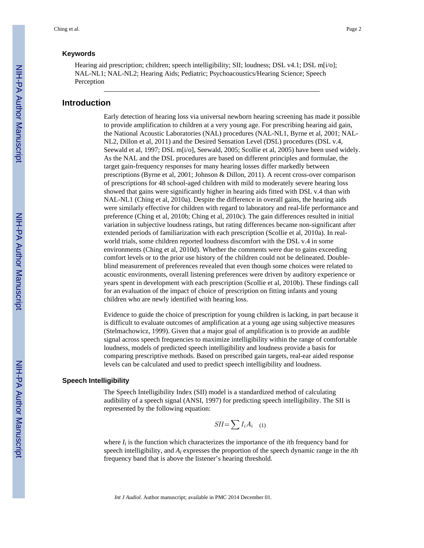#### **Keywords**

Hearing aid prescription; children; speech intelligibility; SII; loudness; DSL v4.1; DSL m[i/o]; NAL-NL1; NAL-NL2; Hearing Aids; Pediatric; Psychoacoustics/Hearing Science; Speech Perception

# **Introduction**

Early detection of hearing loss via universal newborn hearing screening has made it possible to provide amplification to children at a very young age. For prescribing hearing aid gain, the National Acoustic Laboratories (NAL) procedures (NAL-NL1, Byrne et al, 2001; NAL-NL2, Dillon et al, 2011) and the Desired Sensation Level (DSL) procedures (DSL v.4, Seewald et al, 1997; DSL m[i/o], Seewald, 2005; Scollie et al, 2005) have been used widely. As the NAL and the DSL procedures are based on different principles and formulae, the target gain-frequency responses for many hearing losses differ markedly between prescriptions (Byrne et al, 2001; Johnson & Dillon, 2011). A recent cross-over comparison of prescriptions for 48 school-aged children with mild to moderately severe hearing loss showed that gains were significantly higher in hearing aids fitted with DSL v.4 than with NAL-NL1 (Ching et al, 2010a). Despite the difference in overall gains, the hearing aids were similarly effective for children with regard to laboratory and real-life performance and preference (Ching et al, 2010b; Ching et al, 2010c). The gain differences resulted in initial variation in subjective loudness ratings, but rating differences became non-significant after extended periods of familiarization with each prescription (Scollie et al, 2010a). In realworld trials, some children reported loudness discomfort with the DSL v.4 in some environments (Ching et al, 2010d). Whether the comments were due to gains exceeding comfort levels or to the prior use history of the children could not be delineated. Doubleblind measurement of preferences revealed that even though some choices were related to acoustic environments, overall listening preferences were driven by auditory experience or years spent in development with each prescription (Scollie et al, 2010b). These findings call for an evaluation of the impact of choice of prescription on fitting infants and young children who are newly identified with hearing loss.

Evidence to guide the choice of prescription for young children is lacking, in part because it is difficult to evaluate outcomes of amplification at a young age using subjective measures (Stelmachowicz, 1999). Given that a major goal of amplification is to provide an audible signal across speech frequencies to maximize intelligibility within the range of comfortable loudness, models of predicted speech intelligibility and loudness provide a basis for comparing prescriptive methods. Based on prescribed gain targets, real-ear aided response levels can be calculated and used to predict speech intelligibility and loudness.

#### **Speech Intelligibility**

The Speech Intelligibility Index (SII) model is a standardized method of calculating audibility of a speech signal (ANSI, 1997) for predicting speech intelligibility. The SII is represented by the following equation:

$$
SII = \sum I_i A_i \quad (1)
$$

where  $I_i$  is the function which characterizes the importance of the *i*th frequency band for speech intelligibility, and *A<sup>i</sup>* expresses the proportion of the speech dynamic range in the *i*th frequency band that is above the listener's hearing threshold.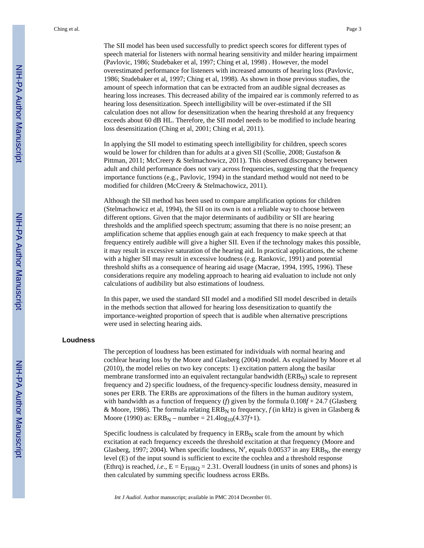The SII model has been used successfully to predict speech scores for different types of speech material for listeners with normal hearing sensitivity and milder hearing impairment (Pavlovic, 1986; Studebaker et al, 1997; Ching et al, 1998) . However, the model overestimated performance for listeners with increased amounts of hearing loss (Pavlovic, 1986; Studebaker et al, 1997; Ching et al, 1998). As shown in those previous studies, the amount of speech information that can be extracted from an audible signal decreases as hearing loss increases. This decreased ability of the impaired ear is commonly referred to as hearing loss desensitization. Speech intelligibility will be over-estimated if the SII calculation does not allow for desensitization when the hearing threshold at any frequency exceeds about 60 dB HL. Therefore, the SII model needs to be modified to include hearing loss desensitization (Ching et al, 2001; Ching et al, 2011).

In applying the SII model to estimating speech intelligibility for children, speech scores would be lower for children than for adults at a given SII (Scollie, 2008; Gustafson & Pittman, 2011; McCreery & Stelmachowicz, 2011). This observed discrepancy between adult and child performance does not vary across frequencies, suggesting that the frequency importance functions (e.g., Pavlovic, 1994) in the standard method would not need to be modified for children (McCreery & Stelmachowicz, 2011).

Although the SII method has been used to compare amplification options for children (Stelmachowicz et al, 1994), the SII on its own is not a reliable way to choose between different options. Given that the major determinants of audibility or SII are hearing thresholds and the amplified speech spectrum; assuming that there is no noise present; an amplification scheme that applies enough gain at each frequency to make speech at that frequency entirely audible will give a higher SII. Even if the technology makes this possible, it may result in excessive saturation of the hearing aid. In practical applications, the scheme with a higher SII may result in excessive loudness (e.g. Rankovic, 1991) and potential threshold shifts as a consequence of hearing aid usage (Macrae, 1994, 1995, 1996). These considerations require any modeling approach to hearing aid evaluation to include not only calculations of audibility but also estimations of loudness.

In this paper, we used the standard SII model and a modified SII model described in details in the methods section that allowed for hearing loss desensitization to quantify the importance-weighted proportion of speech that is audible when alternative prescriptions were used in selecting hearing aids.

#### **Loudness**

The perception of loudness has been estimated for individuals with normal hearing and cochlear hearing loss by the Moore and Glasberg (2004) model. As explained by Moore et al (2010), the model relies on two key concepts: 1) excitation pattern along the basilar membrane transformed into an equivalent rectangular bandwidth  $(ERB<sub>N</sub>)$  scale to represent frequency and 2) specific loudness, of the frequency-specific loudness density, measured in sones per ERB. The ERBs are approximations of the filters in the human auditory system, with bandwidth as a function of frequency (*f*) given by the formula 0.108*f* + 24.7 (Glasberg & Moore, 1986). The formula relating  $ERB<sub>N</sub>$  to frequency,  $f$  (in kHz) is given in Glasberg & Moore (1990) as:  $ERB_N$  – number = 21.4log<sub>10</sub>(4.37*f*+1).

Specific loudness is calculated by frequency in  $ERB<sub>N</sub>$  scale from the amount by which excitation at each frequency exceeds the threshold excitation at that frequency (Moore and Glasberg, 1997; 2004). When specific loudness, N', equals 0.00537 in any  $ERB_N$ , the energy level (E) of the input sound is sufficient to excite the cochlea and a threshold response (Ethrq) is reached, *i.e.*,  $E = E_{THRO} = 2.31$ . Overall loudness (in units of sones and phons) is then calculated by summing specific loudness across ERBs.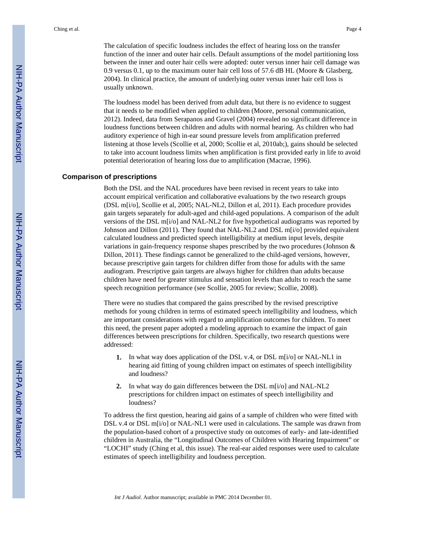The calculation of specific loudness includes the effect of hearing loss on the transfer function of the inner and outer hair cells. Default assumptions of the model partitioning loss between the inner and outer hair cells were adopted: outer versus inner hair cell damage was 0.9 versus 0.1, up to the maximum outer hair cell loss of 57.6 dB HL (Moore & Glasberg, 2004). In clinical practice, the amount of underlying outer versus inner hair cell loss is usually unknown.

The loudness model has been derived from adult data, but there is no evidence to suggest that it needs to be modified when applied to children (Moore, personal communication, 2012). Indeed, data from Serapanos and Gravel (2004) revealed no significant difference in loudness functions between children and adults with normal hearing. As children who had auditory experience of high in-ear sound pressure levels from amplification preferred listening at those levels (Scollie et al, 2000; Scollie et al, 2010ab;), gains should be selected to take into account loudness limits when amplification is first provided early in life to avoid potential deterioration of hearing loss due to amplification (Macrae, 1996).

#### **Comparison of prescriptions**

Both the DSL and the NAL procedures have been revised in recent years to take into account empirical verification and collaborative evaluations by the two research groups (DSL m[i/o], Scollie et al, 2005; NAL-NL2, Dillon et al, 2011). Each procedure provides gain targets separately for adult-aged and child-aged populations. A comparison of the adult versions of the DSL m[i/o] and NAL-NL2 for five hypothetical audiograms was reported by Johnson and Dillon (2011). They found that NAL-NL2 and DSL m[i/o] provided equivalent calculated loudness and predicted speech intelligibility at medium input levels, despite variations in gain-frequency response shapes prescribed by the two procedures (Johnson & Dillon, 2011). These findings cannot be generalized to the child-aged versions, however, because prescriptive gain targets for children differ from those for adults with the same audiogram. Prescriptive gain targets are always higher for children than adults because children have need for greater stimulus and sensation levels than adults to reach the same speech recognition performance (see Scollie, 2005 for review; Scollie, 2008).

There were no studies that compared the gains prescribed by the revised prescriptive methods for young children in terms of estimated speech intelligibility and loudness, which are important considerations with regard to amplification outcomes for children. To meet this need, the present paper adopted a modeling approach to examine the impact of gain differences between prescriptions for children. Specifically, two research questions were addressed:

- **1.** In what way does application of the DSL v.4, or DSL m[i/o] or NAL-NL1 in hearing aid fitting of young children impact on estimates of speech intelligibility and loudness?
- **2.** In what way do gain differences between the DSL m[i/o] and NAL-NL2 prescriptions for children impact on estimates of speech intelligibility and loudness?

To address the first question, hearing aid gains of a sample of children who were fitted with DSL v.4 or DSL m[i/o] or NAL-NL1 were used in calculations. The sample was drawn from the population-based cohort of a prospective study on outcomes of early- and late-identified children in Australia, the "Longitudinal Outcomes of Children with Hearing Impairment" or "LOCHI" study (Ching et al, this issue). The real-ear aided responses were used to calculate estimates of speech intelligibility and loudness perception.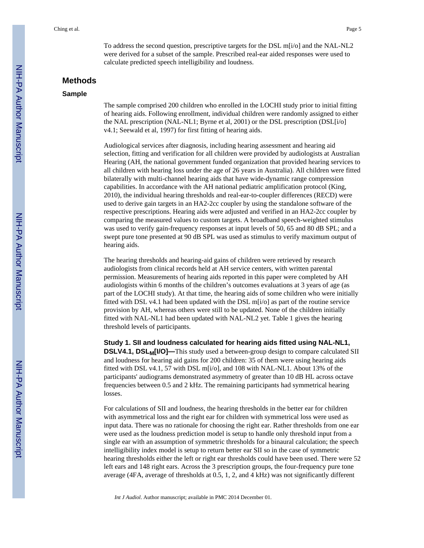To address the second question, prescriptive targets for the DSL m[i/o] and the NAL-NL2 were derived for a subset of the sample. Prescribed real-ear aided responses were used to calculate predicted speech intelligibility and loudness.

# **Methods**

#### **Sample**

The sample comprised 200 children who enrolled in the LOCHI study prior to initial fitting of hearing aids. Following enrollment, individual children were randomly assigned to either the NAL prescription (NAL-NL1; Byrne et al, 2001) or the DSL prescription (DSL[i/o] v4.1; Seewald et al, 1997) for first fitting of hearing aids.

Audiological services after diagnosis, including hearing assessment and hearing aid selection, fitting and verification for all children were provided by audiologists at Australian Hearing (AH, the national government funded organization that provided hearing services to all children with hearing loss under the age of 26 years in Australia). All children were fitted bilaterally with multi-channel hearing aids that have wide-dynamic range compression capabilities. In accordance with the AH national pediatric amplification protocol (King, 2010), the individual hearing thresholds and real-ear-to-coupler differences (RECD) were used to derive gain targets in an HA2-2cc coupler by using the standalone software of the respective prescriptions. Hearing aids were adjusted and verified in an HA2-2cc coupler by comparing the measured values to custom targets. A broadband speech-weighted stimulus was used to verify gain-frequency responses at input levels of 50, 65 and 80 dB SPL; and a swept pure tone presented at 90 dB SPL was used as stimulus to verify maximum output of hearing aids.

The hearing thresholds and hearing-aid gains of children were retrieved by research audiologists from clinical records held at AH service centers, with written parental permission. Measurements of hearing aids reported in this paper were completed by AH audiologists within 6 months of the children's outcomes evaluations at 3 years of age (as part of the LOCHI study). At that time, the hearing aids of some children who were initially fitted with DSL v4.1 had been updated with the DSL m[i/o] as part of the routine service provision by AH, whereas others were still to be updated. None of the children initially fitted with NAL-NL1 had been updated with NAL-NL2 yet. Table 1 gives the hearing threshold levels of participants.

**Study 1. SII and loudness calculated for hearing aids fitted using NAL-NL1,**

**DSLV4.1, DSLM[I/O]—**This study used a between-group design to compare calculated SII and loudness for hearing aid gains for 200 children: 35 of them were using hearing aids fitted with DSL v4.1, 57 with DSL m[i/o], and 108 with NAL-NL1. About 13% of the participants' audiograms demonstrated asymmetry of greater than 10 dB HL across octave frequencies between 0.5 and 2 kHz. The remaining participants had symmetrical hearing losses.

For calculations of SII and loudness, the hearing thresholds in the better ear for children with asymmetrical loss and the right ear for children with symmetrical loss were used as input data. There was no rationale for choosing the right ear. Rather thresholds from one ear were used as the loudness prediction model is setup to handle only threshold input from a single ear with an assumption of symmetric thresholds for a binaural calculation; the speech intelligibility index model is setup to return better ear SII so in the case of symmetric hearing thresholds either the left or right ear thresholds could have been used. There were 52 left ears and 148 right ears. Across the 3 prescription groups, the four-frequency pure tone average (4FA, average of thresholds at 0.5, 1, 2, and 4 kHz) was not significantly different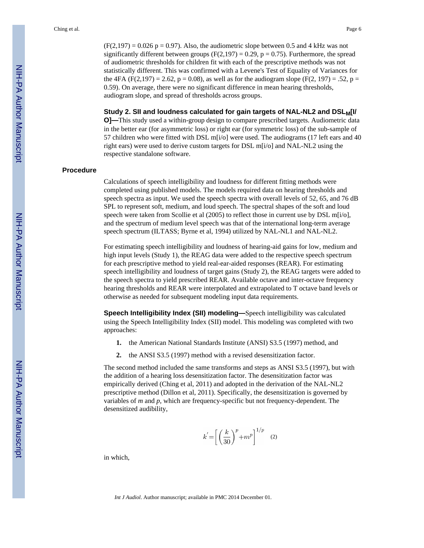$(F(2,197) = 0.026 p = 0.97)$ . Also, the audiometric slope between 0.5 and 4 kHz was not significantly different between groups ( $F(2,197) = 0.29$ ,  $p = 0.75$ ). Furthermore, the spread of audiometric thresholds for children fit with each of the prescriptive methods was not statistically different. This was confirmed with a Levene's Test of Equality of Variances for the 4FA (F(2,197) = 2.62, p = 0.08), as well as for the audiogram slope (F(2, 197) = .52, p = 0.59). On average, there were no significant difference in mean hearing thresholds, audiogram slope, and spread of thresholds across groups.

#### **Study 2. SII and loudness calculated for gain targets of NAL-NL2 and DSLM[I/**

**O]—**This study used a within-group design to compare prescribed targets. Audiometric data in the better ear (for asymmetric loss) or right ear (for symmetric loss) of the sub-sample of 57 children who were fitted with DSL m[i/o] were used. The audiograms (17 left ears and 40 right ears) were used to derive custom targets for DSL m[i/o] and NAL-NL2 using the respective standalone software.

#### **Procedure**

Calculations of speech intelligibility and loudness for different fitting methods were completed using published models. The models required data on hearing thresholds and speech spectra as input. We used the speech spectra with overall levels of 52, 65, and 76 dB SPL to represent soft, medium, and loud speech. The spectral shapes of the soft and loud speech were taken from Scollie et al  $(2005)$  to reflect those in current use by DSL m[i/o], and the spectrum of medium level speech was that of the international long-term average speech spectrum (ILTASS; Byrne et al, 1994) utilized by NAL-NL1 and NAL-NL2.

For estimating speech intelligibility and loudness of hearing-aid gains for low, medium and high input levels (Study 1), the REAG data were added to the respective speech spectrum for each prescriptive method to yield real-ear-aided responses (REAR). For estimating speech intelligibility and loudness of target gains (Study 2), the REAG targets were added to the speech spectra to yield prescribed REAR. Available octave and inter-octave frequency hearing thresholds and REAR were interpolated and extrapolated to T octave band levels or otherwise as needed for subsequent modeling input data requirements.

**Speech Intelligibility Index (SII) modeling—**Speech intelligibility was calculated using the Speech Intelligibility Index (SII) model. This modeling was completed with two approaches:

- **1.** the American National Standards Institute (ANSI) S3.5 (1997) method, and
- **2.** the ANSI S3.5 (1997) method with a revised desensitization factor.

The second method included the same transforms and steps as ANSI S3.5 (1997), but with the addition of a hearing loss desensitization factor. The desensitization factor was empirically derived (Ching et al, 2011) and adopted in the derivation of the NAL-NL2 prescriptive method (Dillon et al, 2011). Specifically, the desensitization is governed by variables of *m* and *p,* which are frequency-specific but not frequency-dependent. The desensitized audibility,

$$
k' = \left[ \left( \frac{k}{30} \right)^p + m^p \right]^{1/p} \quad (2)
$$

in which,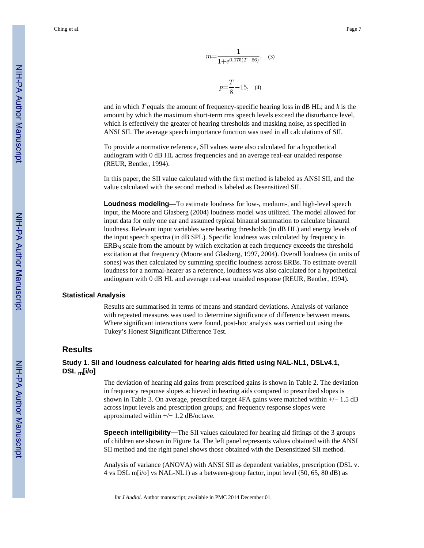Ching et al. Page 7

$$
m = \frac{1}{1 + e^{0.075(T - 66)}},
$$
 (3)  

$$
p = \frac{T}{8} - 15,
$$
 (4)

and in which *T* equals the amount of frequency-specific hearing loss in dB HL; and *k* is the amount by which the maximum short-term rms speech levels exceed the disturbance level, which is effectively the greater of hearing thresholds and masking noise, as specified in ANSI SII. The average speech importance function was used in all calculations of SII.

To provide a normative reference, SII values were also calculated for a hypothetical audiogram with 0 dB HL across frequencies and an average real-ear unaided response (REUR, Bentler, 1994).

In this paper, the SII value calculated with the first method is labeled as ANSI SII, and the value calculated with the second method is labeled as Desensitized SII.

**Loudness modeling—**To estimate loudness for low-, medium-, and high-level speech input, the Moore and Glasberg (2004) loudness model was utilized. The model allowed for input data for only one ear and assumed typical binaural summation to calculate binaural loudness. Relevant input variables were hearing thresholds (in dB HL) and energy levels of the input speech spectra (in dB SPL). Specific loudness was calculated by frequency in  $ERB<sub>N</sub>$  scale from the amount by which excitation at each frequency exceeds the threshold excitation at that frequency (Moore and Glasberg, 1997, 2004). Overall loudness (in units of sones) was then calculated by summing specific loudness across ERBs. To estimate overall loudness for a normal-hearer as a reference, loudness was also calculated for a hypothetical audiogram with 0 dB HL and average real-ear unaided response (REUR, Bentler, 1994).

#### **Statistical Analysis**

Results are summarised in terms of means and standard deviations. Analysis of variance with repeated measures was used to determine significance of difference between means. Where significant interactions were found, post-hoc analysis was carried out using the Tukey's Honest Significant Difference Test.

# **Results**

# **Study 1. SII and loudness calculated for hearing aids fitted using NAL-NL1, DSLv4.1, DSL m[i/o]**

The deviation of hearing aid gains from prescribed gains is shown in Table 2. The deviation in frequency response slopes achieved in hearing aids compared to prescribed slopes is shown in Table 3. On average, prescribed target 4FA gains were matched within +/− 1.5 dB across input levels and prescription groups; and frequency response slopes were approximated within +/− 1.2 dB/octave.

**Speech intelligibility—**The SII values calculated for hearing aid fittings of the 3 groups of children are shown in Figure 1a. The left panel represents values obtained with the ANSI SII method and the right panel shows those obtained with the Desensitized SII method.

Analysis of variance (ANOVA) with ANSI SII as dependent variables, prescription (DSL v. 4 vs DSL m[i/o] vs NAL-NL1) as a between-group factor, input level (50, 65, 80 dB) as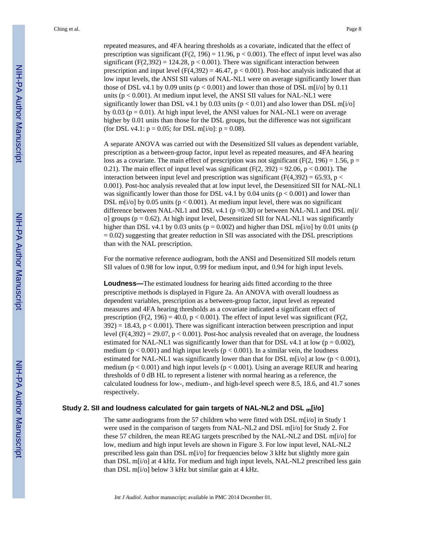repeated measures, and 4FA hearing thresholds as a covariate, indicated that the effect of prescription was significant (F(2, 196) = 11.96,  $p < 0.001$ ). The effect of input level was also significant (F(2,392) = 124.28,  $p < 0.001$ ). There was significant interaction between prescription and input level  $(F(4,392) = 46.47, p < 0.001)$ . Post-hoc analysis indicated that at low input levels, the ANSI SII values of NAL-NL1 were on average significantly lower than those of DSL v4.1 by 0.09 units ( $p < 0.001$ ) and lower than those of DSL m[i/o] by 0.11 units ( $p < 0.001$ ). At medium input level, the ANSI SII values for NAL-NL1 were significantly lower than DSL v4.1 by 0.03 units ( $p < 0.01$ ) and also lower than DSL m[i/o] by  $0.03$  ( $p = 0.01$ ). At high input level, the ANSI values for NAL-NL1 were on average higher by 0.01 units than those for the DSL groups, but the difference was not significant (for DSL v4.1:  $p = 0.05$ ; for DSL m[i/o]:  $p = 0.08$ ).

A separate ANOVA was carried out with the Desensitized SII values as dependent variable, prescription as a between-group factor, input level as repeated measures, and 4FA hearing loss as a covariate. The main effect of prescription was not significant ( $F(2, 196) = 1.56$ ,  $p =$ 0.21). The main effect of input level was significant  $(F(2, 392) = 92.06, p < 0.001)$ . The interaction between input level and prescription was significant ( $F(4,392) = 65.93$ , p < 0.001). Post-hoc analysis revealed that at low input level, the Desensitized SII for NAL-NL1 was significantly lower than those for DSL v4.1 by 0.04 units ( $p < 0.001$ ) and lower than DSL m[ $i$ /o] by 0.05 units ( $p < 0.001$ ). At medium input level, there was no significant difference between NAL-NL1 and DSL v4.1 ( $p = 0.30$ ) or between NAL-NL1 and DSL m[i/ o] groups ( $p = 0.62$ ). At high input level, Desensitized SII for NAL-NL1 was significantly higher than DSL v4.1 by 0.03 units ( $p = 0.002$ ) and higher than DSL m[i/o] by 0.01 units ( $p$  $= 0.02$ ) suggesting that greater reduction in SII was associated with the DSL prescriptions than with the NAL prescription.

For the normative reference audiogram, both the ANSI and Desensitized SII models return SII values of 0.98 for low input, 0.99 for medium input, and 0.94 for high input levels.

**Loudness—**The estimated loudness for hearing aids fitted according to the three prescriptive methods is displayed in Figure 2a. An ANOVA with overall loudness as dependent variables, prescription as a between-group factor, input level as repeated measures and 4FA hearing thresholds as a covariate indicated a significant effect of prescription (F(2, 196) = 40.0,  $p < 0.001$ ). The effect of input level was significant (F(2,  $392$  = 18.43,  $p < 0.001$ ). There was significant interaction between prescription and input level  $(F(4,392) = 29.07, p < 0.001)$ . Post-hoc analysis revealed that on average, the loudness estimated for NAL-NL1 was significantly lower than that for DSL v4.1 at low ( $p = 0.002$ ), medium ( $p < 0.001$ ) and high input levels ( $p < 0.001$ ). In a similar vein, the loudness estimated for NAL-NL1 was significantly lower than that for DSL m[i/o] at low ( $p < 0.001$ ), medium ( $p < 0.001$ ) and high input levels ( $p < 0.001$ ). Using an average REUR and hearing thresholds of 0 dB HL to represent a listener with normal hearing as a reference, the calculated loudness for low-, medium-, and high-level speech were 8.5, 18.6, and 41.7 sones respectively.

#### **Study 2. SII and loudness calculated for gain targets of NAL-NL2 and DSL m[i/o]**

The same audiograms from the 57 children who were fitted with DSL m[i/o] in Study 1 were used in the comparison of targets from NAL-NL2 and DSL m[i/o] for Study 2. For these 57 children, the mean REAG targets prescribed by the NAL-NL2 and DSL m[i/o] for low, medium and high input levels are shown in Figure 3. For low input level, NAL-NL2 prescribed less gain than DSL m[i/o] for frequencies below 3 kHz but slightly more gain than DSL m[i/o] at 4 kHz. For medium and high input levels, NAL-NL2 prescribed less gain than DSL m[i/o] below 3 kHz but similar gain at 4 kHz.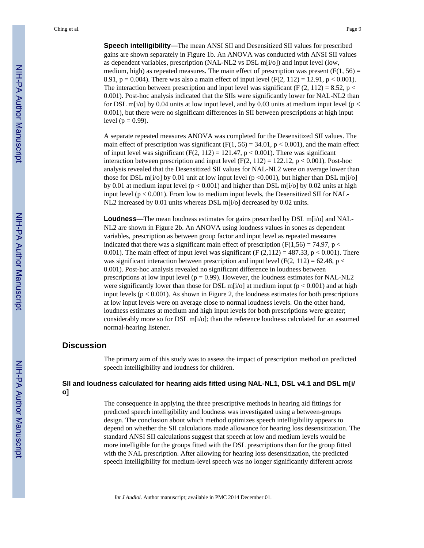**Speech intelligibility—**The mean ANSI SII and Desensitized SII values for prescribed gains are shown separately in Figure 1b. An ANOVA was conducted with ANSI SII values as dependent variables, prescription (NAL-NL2 vs DSL m[i/o]) and input level (low, medium, high) as repeated measures. The main effect of prescription was present ( $F(1, 56) =$ 8.91,  $p = 0.004$ ). There was also a main effect of input level (F(2, 112) = 12.91,  $p < 0.001$ ). The interaction between prescription and input level was significant (F  $(2, 112) = 8.52$ , p < 0.001). Post-hoc analysis indicated that the SIIs were significantly lower for NAL-NL2 than for DSL m[i/o] by 0.04 units at low input level, and by 0.03 units at medium input level ( $p <$ 0.001), but there were no significant differences in SII between prescriptions at high input level ( $p = 0.99$ ).

A separate repeated measures ANOVA was completed for the Desensitized SII values. The main effect of prescription was significant (F(1, 56) = 34.01,  $p < 0.001$ ), and the main effect of input level was significant  $(F(2, 112) = 121.47, p < 0.001)$ . There was significant interaction between prescription and input level  $(F(2, 112) = 122.12, p < 0.001)$ . Post-hoc analysis revealed that the Desensitized SII values for NAL-NL2 were on average lower than those for DSL m[i/o] by 0.01 unit at low input level (p <0.001), but higher than DSL m[i/o] by 0.01 at medium input level ( $p < 0.001$ ) and higher than DSL m[i/o] by 0.02 units at high input level ( $p < 0.001$ ). From low to medium input levels, the Desensitized SII for NAL-NL2 increased by 0.01 units whereas DSL m[i/o] decreased by 0.02 units.

**Loudness—**The mean loudness estimates for gains prescribed by DSL m[i/o] and NAL-NL2 are shown in Figure 2b. An ANOVA using loudness values in sones as dependent variables, prescription as between group factor and input level as repeated measures indicated that there was a significant main effect of prescription ( $F(1,56) = 74.97$ , p < 0.001). The main effect of input level was significant (F  $(2,112) = 487.33$ , p < 0.001). There was significant interaction between prescription and input level (F(2, 112) = 62.48, p < 0.001). Post-hoc analysis revealed no significant difference in loudness between prescriptions at low input level ( $p = 0.99$ ). However, the loudness estimates for NAL-NL2 were significantly lower than those for DSL m[i/o] at medium input ( $p < 0.001$ ) and at high input levels  $(p < 0.001)$ . As shown in Figure 2, the loudness estimates for both prescriptions at low input levels were on average close to normal loudness levels. On the other hand, loudness estimates at medium and high input levels for both prescriptions were greater; considerably more so for DSL m[i/o]; than the reference loudness calculated for an assumed normal-hearing listener.

# **Discussion**

The primary aim of this study was to assess the impact of prescription method on predicted speech intelligibility and loudness for children.

# **SII and loudness calculated for hearing aids fitted using NAL-NL1, DSL v4.1 and DSL m[i/ o]**

The consequence in applying the three prescriptive methods in hearing aid fittings for predicted speech intelligibility and loudness was investigated using a between-groups design. The conclusion about which method optimizes speech intelligibility appears to depend on whether the SII calculations made allowance for hearing loss desensitization. The standard ANSI SII calculations suggest that speech at low and medium levels would be more intelligible for the groups fitted with the DSL prescriptions than for the group fitted with the NAL prescription. After allowing for hearing loss desensitization, the predicted speech intelligibility for medium-level speech was no longer significantly different across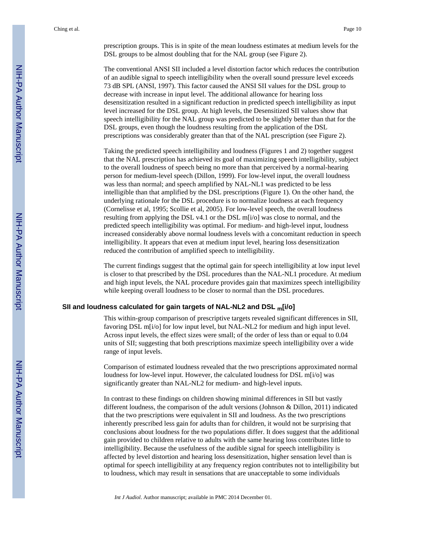prescription groups. This is in spite of the mean loudness estimates at medium levels for the DSL groups to be almost doubling that for the NAL group (see Figure 2).

The conventional ANSI SII included a level distortion factor which reduces the contribution of an audible signal to speech intelligibility when the overall sound pressure level exceeds 73 dB SPL (ANSI, 1997). This factor caused the ANSI SII values for the DSL group to decrease with increase in input level. The additional allowance for hearing loss desensitization resulted in a significant reduction in predicted speech intelligibility as input level increased for the DSL group. At high levels, the Desensitized SII values show that speech intelligibility for the NAL group was predicted to be slightly better than that for the DSL groups, even though the loudness resulting from the application of the DSL prescriptions was considerably greater than that of the NAL prescription (see Figure 2).

Taking the predicted speech intelligibility and loudness (Figures 1 and 2) together suggest that the NAL prescription has achieved its goal of maximizing speech intelligibility, subject to the overall loudness of speech being no more than that perceived by a normal-hearing person for medium-level speech (Dillon, 1999). For low-level input, the overall loudness was less than normal; and speech amplified by NAL-NL1 was predicted to be less intelligible than that amplified by the DSL prescriptions (Figure 1). On the other hand, the underlying rationale for the DSL procedure is to normalize loudness at each frequency (Cornelisse et al, 1995; Scollie et al, 2005). For low-level speech, the overall loudness resulting from applying the DSL v4.1 or the DSL m[i/o] was close to normal, and the predicted speech intelligibility was optimal. For medium- and high-level input, loudness increased considerably above normal loudness levels with a concomitant reduction in speech intelligibility. It appears that even at medium input level, hearing loss desensitization reduced the contribution of amplified speech to intelligibility.

The current findings suggest that the optimal gain for speech intelligibility at low input level is closer to that prescribed by the DSL procedures than the NAL-NL1 procedure. At medium and high input levels, the NAL procedure provides gain that maximizes speech intelligibility while keeping overall loudness to be closer to normal than the DSL procedures.

#### **SII and loudness calculated for gain targets of NAL-NL2 and DSL m[i/o]**

This within-group comparison of prescriptive targets revealed significant differences in SII, favoring DSL m[i/o] for low input level, but NAL-NL2 for medium and high input level. Across input levels, the effect sizes were small; of the order of less than or equal to 0.04 units of SII; suggesting that both prescriptions maximize speech intelligibility over a wide range of input levels.

Comparison of estimated loudness revealed that the two prescriptions approximated normal loudness for low-level input. However, the calculated loudness for DSL m[i/o] was significantly greater than NAL-NL2 for medium- and high-level inputs.

In contrast to these findings on children showing minimal differences in SII but vastly different loudness, the comparison of the adult versions (Johnson & Dillon, 2011) indicated that the two prescriptions were equivalent in SII and loudness. As the two prescriptions inherently prescribed less gain for adults than for children, it would not be surprising that conclusions about loudness for the two populations differ. It does suggest that the additional gain provided to children relative to adults with the same hearing loss contributes little to intelligibility. Because the usefulness of the audible signal for speech intelligibility is affected by level distortion and hearing loss desensitization, higher sensation level than is optimal for speech intelligibility at any frequency region contributes not to intelligibility but to loudness, which may result in sensations that are unacceptable to some individuals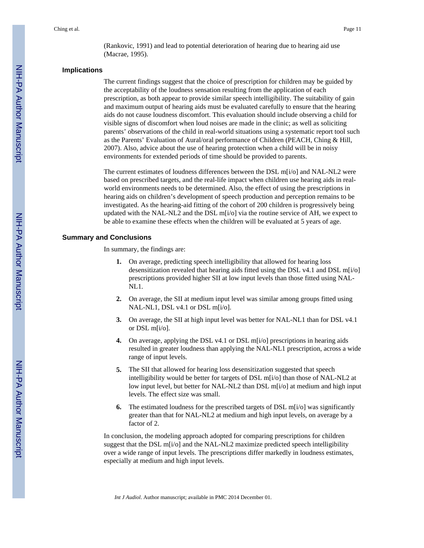(Rankovic, 1991) and lead to potential deterioration of hearing due to hearing aid use (Macrae, 1995).

#### **Implications**

The current findings suggest that the choice of prescription for children may be guided by the acceptability of the loudness sensation resulting from the application of each prescription, as both appear to provide similar speech intelligibility. The suitability of gain and maximum output of hearing aids must be evaluated carefully to ensure that the hearing aids do not cause loudness discomfort. This evaluation should include observing a child for visible signs of discomfort when loud noises are made in the clinic; as well as soliciting parents' observations of the child in real-world situations using a systematic report tool such as the Parents' Evaluation of Aural/oral performance of Children (PEACH, Ching & Hill, 2007). Also, advice about the use of hearing protection when a child will be in noisy environments for extended periods of time should be provided to parents.

The current estimates of loudness differences between the DSL m[i/o] and NAL-NL2 were based on prescribed targets, and the real-life impact when children use hearing aids in realworld environments needs to be determined. Also, the effect of using the prescriptions in hearing aids on children's development of speech production and perception remains to be investigated. As the hearing-aid fitting of the cohort of 200 children is progressively being updated with the NAL-NL2 and the DSL m[i/o] via the routine service of AH, we expect to be able to examine these effects when the children will be evaluated at 5 years of age.

#### **Summary and Conclusions**

In summary, the findings are:

- **1.** On average, predicting speech intelligibility that allowed for hearing loss desensitization revealed that hearing aids fitted using the DSL v4.1 and DSL m[i/o] prescriptions provided higher SII at low input levels than those fitted using NAL-NL1.
- **2.** On average, the SII at medium input level was similar among groups fitted using NAL-NL1, DSL v4.1 or DSL m[i/o].
- **3.** On average, the SII at high input level was better for NAL-NL1 than for DSL v4.1 or DSL m[i/o].
- **4.** On average, applying the DSL v4.1 or DSL m[i/o] prescriptions in hearing aids resulted in greater loudness than applying the NAL-NL1 prescription, across a wide range of input levels.
- **5.** The SII that allowed for hearing loss desensitization suggested that speech intelligibility would be better for targets of DSL m[i/o] than those of NAL-NL2 at low input level, but better for NAL-NL2 than DSL m[i/o] at medium and high input levels. The effect size was small.
- **6.** The estimated loudness for the prescribed targets of DSL m[i/o] was significantly greater than that for NAL-NL2 at medium and high input levels, on average by a factor of 2.

In conclusion, the modeling approach adopted for comparing prescriptions for children suggest that the DSL m[i/o] and the NAL-NL2 maximize predicted speech intelligibility over a wide range of input levels. The prescriptions differ markedly in loudness estimates, especially at medium and high input levels.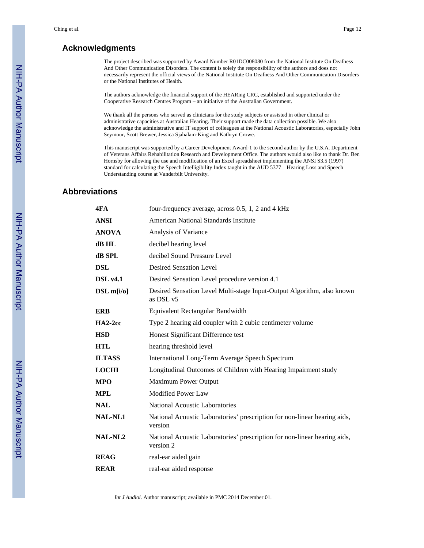# **Acknowledgments**

The project described was supported by Award Number R01DC008080 from the National Institute On Deafness And Other Communication Disorders. The content is solely the responsibility of the authors and does not necessarily represent the official views of the National Institute On Deafness And Other Communication Disorders or the National Institutes of Health.

The authors acknowledge the financial support of the HEARing CRC, established and supported under the Cooperative Research Centres Program – an initiative of the Australian Government.

We thank all the persons who served as clinicians for the study subjects or assisted in other clinical or administrative capacities at Australian Hearing. Their support made the data collection possible. We also acknowledge the administrative and IT support of colleagues at the National Acoustic Laboratories, especially John Seymour, Scott Brewer, Jessica Sjahalam-King and Kathryn Crowe.

This manuscript was supported by a Career Development Award-1 to the second author by the U.S.A. Department of Veterans Affairs Rehabilitation Research and Development Office. The authors would also like to thank Dr. Ben Hornsby for allowing the use and modification of an Excel spreadsheet implementing the ANSI S3.5 (1997) standard for calculating the Speech Intelligibility Index taught in the AUD 5377 – Hearing Loss and Speech Understanding course at Vanderbilt University.

# **Abbreviations**

| 4FA             | four-frequency average, across 0.5, 1, 2 and 4 kHz                                     |  |  |  |  |
|-----------------|----------------------------------------------------------------------------------------|--|--|--|--|
| <b>ANSI</b>     | <b>American National Standards Institute</b>                                           |  |  |  |  |
| <b>ANOVA</b>    | Analysis of Variance                                                                   |  |  |  |  |
| dB HL           | decibel hearing level                                                                  |  |  |  |  |
| dB SPL          | decibel Sound Pressure Level                                                           |  |  |  |  |
| <b>DSL</b>      | <b>Desired Sensation Level</b>                                                         |  |  |  |  |
| <b>DSL</b> v4.1 | Desired Sensation Level procedure version 4.1                                          |  |  |  |  |
| DSL m[i/o]      | Desired Sensation Level Multi-stage Input-Output Algorithm, also known<br>as DSL v5    |  |  |  |  |
| <b>ERB</b>      | Equivalent Rectangular Bandwidth                                                       |  |  |  |  |
| $HA2-2cc$       | Type 2 hearing aid coupler with 2 cubic centimeter volume                              |  |  |  |  |
| <b>HSD</b>      | Honest Significant Difference test                                                     |  |  |  |  |
| <b>HTL</b>      | hearing threshold level                                                                |  |  |  |  |
| <b>ILTASS</b>   | <b>International Long-Term Average Speech Spectrum</b>                                 |  |  |  |  |
| <b>LOCHI</b>    | Longitudinal Outcomes of Children with Hearing Impairment study                        |  |  |  |  |
| <b>MPO</b>      | <b>Maximum Power Output</b>                                                            |  |  |  |  |
| <b>MPL</b>      | <b>Modified Power Law</b>                                                              |  |  |  |  |
| <b>NAL</b>      | National Acoustic Laboratories                                                         |  |  |  |  |
| <b>NAL-NL1</b>  | National Acoustic Laboratories' prescription for non-linear hearing aids,<br>version   |  |  |  |  |
| <b>NAL-NL2</b>  | National Acoustic Laboratories' prescription for non-linear hearing aids,<br>version 2 |  |  |  |  |
| <b>REAG</b>     | real-ear aided gain                                                                    |  |  |  |  |
| <b>REAR</b>     | real-ear aided response                                                                |  |  |  |  |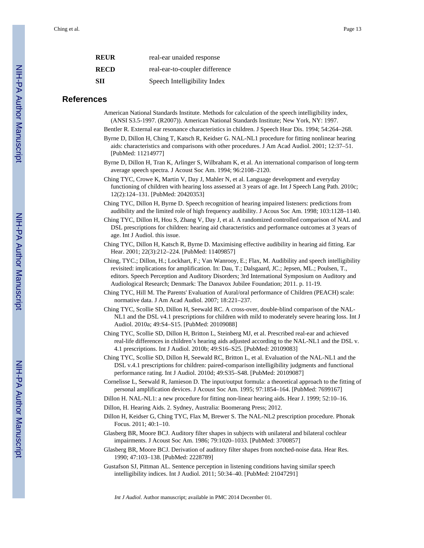| REUR | real-ear unaided response      |
|------|--------------------------------|
| RECD | real-ear-to-coupler difference |
| SH   | Speech Intelligibility Index   |

### **References**

- American National Standards Institute. Methods for calculation of the speech intelligibility index, (ANSI S3.5-1997. (R2007)). American National Standards Institute; New York, NY: 1997.
- Bentler R. External ear resonance characteristics in children. J Speech Hear Dis. 1994; 54:264–268.
- Byrne D, Dillon H, Ching T, Katsch R, Keidser G. NAL-NL1 procedure for fitting nonlinear hearing aids: characteristics and comparisons with other procedures. J Am Acad Audiol. 2001; 12:37–51. [PubMed: 11214977]
- Byrne D, Dillon H, Tran K, Arlinger S, Wilbraham K, et al. An international comparison of long-term average speech spectra. J Acoust Soc Am. 1994; 96:2108–2120.
- Ching TYC, Crowe K, Martin V, Day J, Mahler N, et al. Language development and everyday functioning of children with hearing loss assessed at 3 years of age. Int J Speech Lang Path. 2010c; 12(2):124–131. [PubMed: 20420353]
- Ching TYC, Dillon H, Byrne D. Speech recognition of hearing impaired listeners: predictions from audibility and the limited role of high frequency audibility. J Acous Soc Am. 1998; 103:1128–1140.
- Ching TYC, Dillon H, Hou S, Zhang V, Day J, et al. A randomized controlled comparison of NAL and DSL prescriptions for children: hearing aid characteristics and performance outcomes at 3 years of age. Int J Audiol. this issue.
- Ching TYC, Dillon H, Katsch R, Byrne D. Maximising effective audibility in hearing aid fitting. Ear Hear. 2001; 22(3):212–224. [PubMed: 11409857]
- Ching, TYC.; Dillon, H.; Lockhart, F.; Van Wanrooy, E.; Flax, M. Audibility and speech intelligibility revisited: implications for amplification. In: Dau, T.; Dalsgaard, JC.; Jepsen, ML.; Poulsen, T., editors. Speech Perception and Auditory Disorders; 3rd International Symposium on Auditory and Audiological Research; Denmark: The Danavox Jubilee Foundation; 2011. p. 11-19.
- Ching TYC, Hill M. The Parents' Evaluation of Aural/oral performance of Children (PEACH) scale: normative data. J Am Acad Audiol. 2007; 18:221–237.
- Ching TYC, Scollie SD, Dillon H, Seewald RC. A cross-over, double-blind comparison of the NAL-NL1 and the DSL v4.1 prescriptions for children with mild to moderately severe hearing loss. Int J Audiol. 2010a; 49:S4–S15. [PubMed: 20109088]
- Ching TYC, Scollie SD, Dillon H, Britton L, Steinberg MJ, et al. Prescribed real-ear and achieved real-life differences in children's hearing aids adjusted according to the NAL-NL1 and the DSL v. 4.1 prescriptions. Int J Audiol. 2010b; 49:S16–S25. [PubMed: 20109083]
- Ching TYC, Scollie SD, Dillon H, Seewald RC, Britton L, et al. Evaluation of the NAL-NL1 and the DSL v.4.1 prescriptions for children: paired-comparison intelligibility judgments and functional performance rating. Int J Audiol. 2010d; 49:S35–S48. [PubMed: 20109087]
- Cornelisse L, Seewald R, Jamieson D. The input/output formula: a theoretical approach to the fitting of personal amplification devices. J Acoust Soc Am. 1995; 97:1854–164. [PubMed: 7699167]
- Dillon H. NAL-NL1: a new procedure for fitting non-linear hearing aids. Hear J. 1999; 52:10–16.
- Dillon, H. Hearing Aids. 2. Sydney, Australia: Boomerang Press; 2012.
- Dillon H, Keidser G, Ching TYC, Flax M, Brewer S. The NAL-NL2 prescription procedure. Phonak Focus. 2011; 40:1–10.
- Glasberg BR, Moore BCJ. Auditory filter shapes in subjects with unilateral and bilateral cochlear impairments. J Acoust Soc Am. 1986; 79:1020–1033. [PubMed: 3700857]
- Glasberg BR, Moore BCJ. Derivation of auditory filter shapes from notched-noise data. Hear Res. 1990; 47:103–138. [PubMed: 2228789]
- Gustafson SJ, Pittman AL. Sentence perception in listening conditions having similar speech intelligibility indices. Int J Audiol. 2011; 50:34–40. [PubMed: 21047291]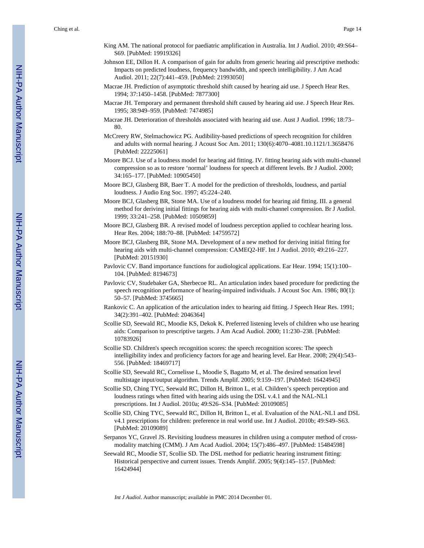- King AM. The national protocol for paediatric amplification in Australia. Int J Audiol. 2010; 49:S64– S69. [PubMed: 19919326]
- Johnson EE, Dillon H. A comparison of gain for adults from generic hearing aid prescriptive methods: Impacts on predicted loudness, frequency bandwidth, and speech intelligibility. J Am Acad Audiol. 2011; 22(7):441–459. [PubMed: 21993050]
- Macrae JH. Prediction of asymptotic threshold shift caused by hearing aid use. J Speech Hear Res. 1994; 37:1450–1458. [PubMed: 7877300]
- Macrae JH. Temporary and permanent threshold shift caused by hearing aid use. J Speech Hear Res. 1995; 38:949–959. [PubMed: 7474985]
- Macrae JH. Deterioration of thresholds associated with hearing aid use. Aust J Audiol. 1996; 18:73– 80.
- McCreery RW, Stelmachowicz PG. Audibility-based predictions of speech recognition for children and adults with normal hearing. J Acoust Soc Am. 2011; 130(6):4070–4081.10.1121/1.3658476 [PubMed: 22225061]
- Moore BCJ. Use of a loudness model for hearing aid fitting. IV. fitting hearing aids with multi-channel compression so as to restore 'normal' loudness for speech at different levels. Br J Audiol. 2000; 34:165–177. [PubMed: 10905450]
- Moore BCJ, Glasberg BR, Baer T. A model for the prediction of thresholds, loudness, and partial loudness. J Audio Eng Soc. 1997; 45:224–240.
- Moore BCJ, Glasberg BR, Stone MA. Use of a loudness model for hearing aid fitting. III. a general method for deriving initial fittings for hearing aids with multi-channel compression. Br J Audiol. 1999; 33:241–258. [PubMed: 10509859]
- Moore BCJ, Glasberg BR. A revised model of loudness perception applied to cochlear hearing loss. Hear Res. 2004; 188:70–88. [PubMed: 14759572]
- Moore BCJ, Glasberg BR, Stone MA. Development of a new method for deriving initial fitting for hearing aids with multi-channel compression: CAMEQ2-HF. Int J Audiol. 2010; 49:216–227. [PubMed: 20151930]
- Pavlovic CV. Band importance functions for audiological applications. Ear Hear. 1994; 15(1):100– 104. [PubMed: 8194673]
- Pavlovic CV, Studebaker GA, Sherbecoe RL. An articulation index based procedure for predicting the speech recognition performance of hearing-impaired individuals. J Acoust Soc Am. 1986; 80(1): 50–57. [PubMed: 3745665]
- Rankovic C. An application of the articulation index to hearing aid fitting. J Speech Hear Res. 1991; 34(2):391–402. [PubMed: 2046364]
- Scollie SD, Seewald RC, Moodie KS, Dekok K. Preferred listening levels of children who use hearing aids: Comparison to prescriptive targets. J Am Acad Audiol. 2000; 11:230–238. [PubMed: 10783926]
- Scollie SD. Children's speech recognition scores: the speech recognition scores: The speech intelligibility index and proficiency factors for age and hearing level. Ear Hear. 2008; 29(4):543– 556. [PubMed: 18469717]
- Scollie SD, Seewald RC, Cornelisse L, Moodie S, Bagatto M, et al. The desired sensation level multistage input/output algorithm. Trends Amplif. 2005; 9:159–197. [PubMed: 16424945]
- Scollie SD, Ching TYC, Seewald RC, Dillon H, Britton L, et al. Children's speech perception and loudness ratings when fitted with hearing aids using the DSL v.4.1 and the NAL-NL1 prescriptions. Int J Audiol. 2010a; 49:S26–S34. [PubMed: 20109085]
- Scollie SD, Ching TYC, Seewald RC, Dillon H, Britton L, et al. Evaluation of the NAL-NL1 and DSL v4.1 prescriptions for children: preference in real world use. Int J Audiol. 2010b; 49:S49–S63. [PubMed: 20109089]
- Serpanos YC, Gravel JS. Revisiting loudness measures in children using a computer method of crossmodality matching (CMM). J Am Acad Audiol. 2004; 15(7):486–497. [PubMed: 15484598]
- Seewald RC, Moodie ST, Scollie SD. The DSL method for pediatric hearing instrument fitting: Historical perspective and current issues. Trends Amplif. 2005; 9(4):145–157. [PubMed: 16424944]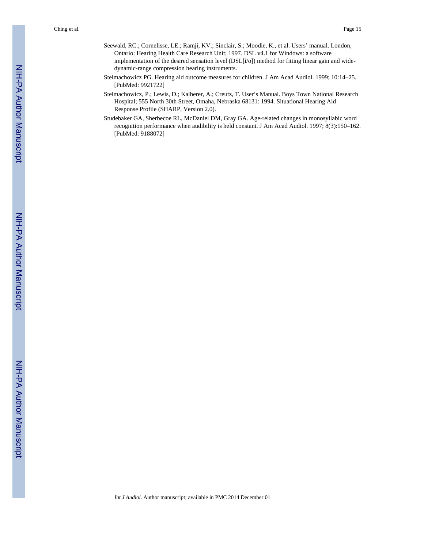- Seewald, RC.; Cornelisse, LE.; Ramji, KV.; Sinclair, S.; Moodie, K., et al. Users' manual. London, Ontario: Hearing Health Care Research Unit; 1997. DSL v4.1 for Windows: a software implementation of the desired sensation level (DSL[i/o]) method for fitting linear gain and widedynamic-range compression hearing instruments.
- Stelmachowicz PG. Hearing aid outcome measures for children. J Am Acad Audiol. 1999; 10:14–25. [PubMed: 9921722]
- Stelmachowicz, P.; Lewis, D.; Kalberer, A.; Creutz, T. User's Manual. Boys Town National Research Hospital; 555 North 30th Street, Omaha, Nebraska 68131: 1994. Situational Hearing Aid Response Profile (SHARP, Version 2.0).
- Studebaker GA, Sherbecoe RL, McDaniel DM, Gray GA. Age-related changes in monosyllabic word recognition performance when audibility is held constant. J Am Acad Audiol. 1997; 8(3):150–162. [PubMed: 9188072]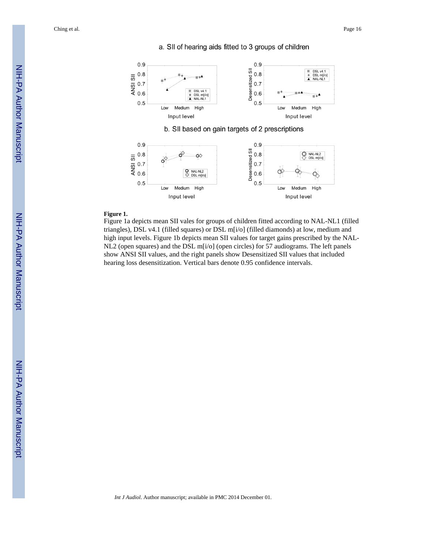Ching et al. Page 16





#### **Figure 1.**

Figure 1a depicts mean SII vales for groups of children fitted according to NAL-NL1 (filled triangles), DSL v4.1 (filled squares) or DSL m[i/o] (filled diamonds) at low, medium and high input levels. Figure 1b depicts mean SII values for target gains prescribed by the NAL-NL2 (open squares) and the DSL m[i/o] (open circles) for 57 audiograms. The left panels show ANSI SII values, and the right panels show Desensitized SII values that included hearing loss desensitization. Vertical bars denote 0.95 confidence intervals.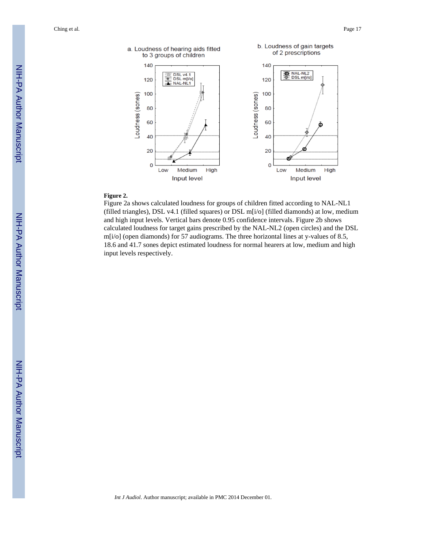Ching et al. Page 17



#### **Figure 2.**

Figure 2a shows calculated loudness for groups of children fitted according to NAL-NL1 (filled triangles), DSL v4.1 (filled squares) or DSL m[i/o] (filled diamonds) at low, medium and high input levels. Vertical bars denote 0.95 confidence intervals. Figure 2b shows calculated loudness for target gains prescribed by the NAL-NL2 (open circles) and the DSL m[i/o] (open diamonds) for 57 audiograms. The three horizontal lines at y-values of 8.5, 18.6 and 41.7 sones depict estimated loudness for normal hearers at low, medium and high input levels respectively.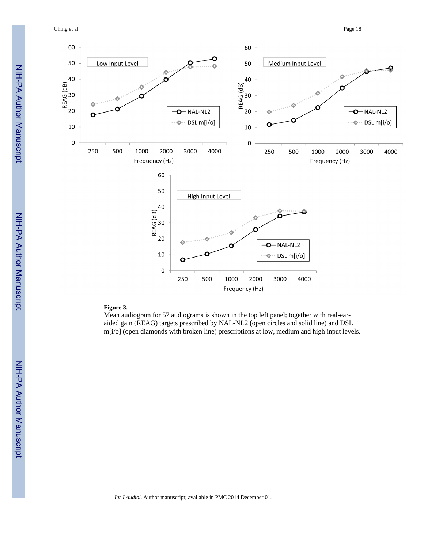Ching et al. Page 18



#### **Figure 3.**

Mean audiogram for 57 audiograms is shown in the top left panel; together with real-earaided gain (REAG) targets prescribed by NAL-NL2 (open circles and solid line) and DSL m[i/o] (open diamonds with broken line) prescriptions at low, medium and high input levels.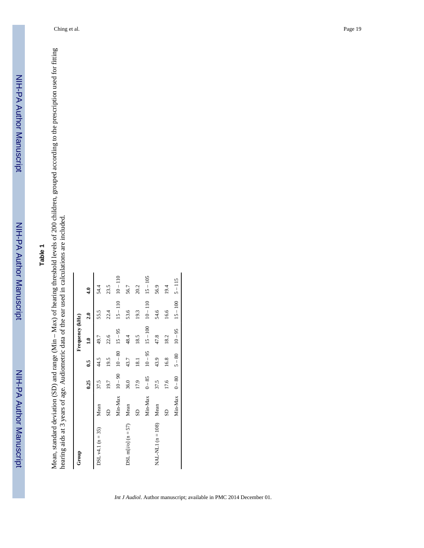# **Table 1**

Mean, standard deviation (SD) and range (Min – Max) of hearing threshold levels of 200 children, grouped according to the prescription used for fitting<br>hearing aids at 3 years of age. Audiometric data of the ear used in ca Mean, standard deviation (SD) and range (Min – Max) of hearing threshold levels of 200 children, grouped according to the prescription used for fitting hearing aids at 3 years of age. Audiometric data of the ear used in calculations are included.

| Group                 |         |           |            | Frequency (kHz) |            |            |
|-----------------------|---------|-----------|------------|-----------------|------------|------------|
|                       |         | 0.25      | $\ddot{6}$ | $\mathbf{r}$    | 2.0        | $\ddot{ }$ |
| $DSL v4.1 (n = 35)$   | Mean    | 37.5      | 44.5       | 49.7            | 55.5       | 54.4       |
|                       | SD      | 19.7      | 19.5       | 22.6            | 22.4       | 23.5       |
|                       | Min-Max | $10 - 90$ | $10 - 80$  | $15 - 95$       | $15 - 110$ | $10 - 110$ |
| DSL m[i/o] $(n = 57)$ | Mean    | 36.0      | 43.7       | 48.4            | 53.6       | 56.7       |
|                       | SD      | 17.9      | 18.1       | 18.5            | 19.3       | 20.2       |
|                       | Min-Max | $0 - 85$  | $10 - 95$  | $15 - 100$      | $10 - 110$ | $15 - 105$ |
| $NAL- NLI (n = 108)$  | Mean    | 37.5      | 43.9       | 47.8            | 54.6       | 56.9       |
|                       | SD      | 17.6      | 16.8       | 18.2            | 16.6       | 19.4       |
|                       | Min-Max | $0 - 80$  | $5 - 80$   | $10 - 95$       | $15 - 100$ | $5 - 115$  |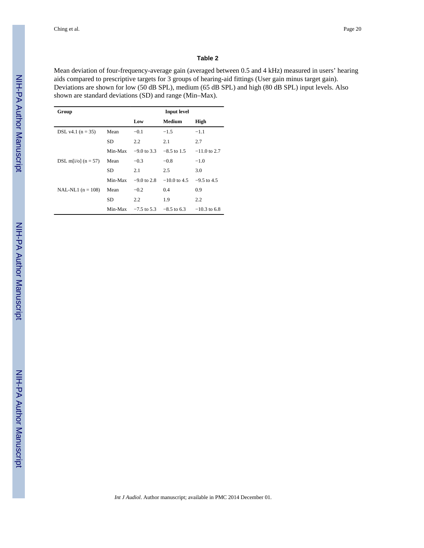#### **Table 2**

Mean deviation of four-frequency-average gain (averaged between 0.5 and 4 kHz) measured in users' hearing aids compared to prescriptive targets for 3 groups of hearing-aid fittings (User gain minus target gain). Deviations are shown for low (50 dB SPL), medium (65 dB SPL) and high (80 dB SPL) input levels. Also shown are standard deviations (SD) and range (Min–Max).

| Group                 |         |               | <b>Input level</b> |                |
|-----------------------|---------|---------------|--------------------|----------------|
|                       |         | Low           | <b>Medium</b>      | High           |
| DSL v4.1 $(n = 35)$   | Mean    | $-0.1$        | $-1.5$             | $-1.1$         |
|                       | SD      | $2.2^{\circ}$ | 2.1                | 2.7            |
|                       | Min-Max | $-9.0$ to 3.3 | $-8.5$ to 1.5      | $-11.0$ to 2.7 |
| DSL m[i/o] $(n = 57)$ | Mean    | $-0.3$        | $-0.8$             | $-1.0$         |
|                       | SD      | 2.1           | 2.5                | 3.0            |
|                       | Min-Max | $-9.0$ to 2.8 | $-10.0$ to 4.5     | $-9.5$ to 4.5  |
| NAL-NL1 $(n = 108)$   | Mean    | $-0.2$        | 0.4                | 0.9            |
|                       | SD      | $2.2^{\circ}$ | 1.9                | 2.2            |
|                       | Min-Max | $-7.5$ to 5.3 | $-8.5$ to 6.3      | $-10.3$ to 6.8 |